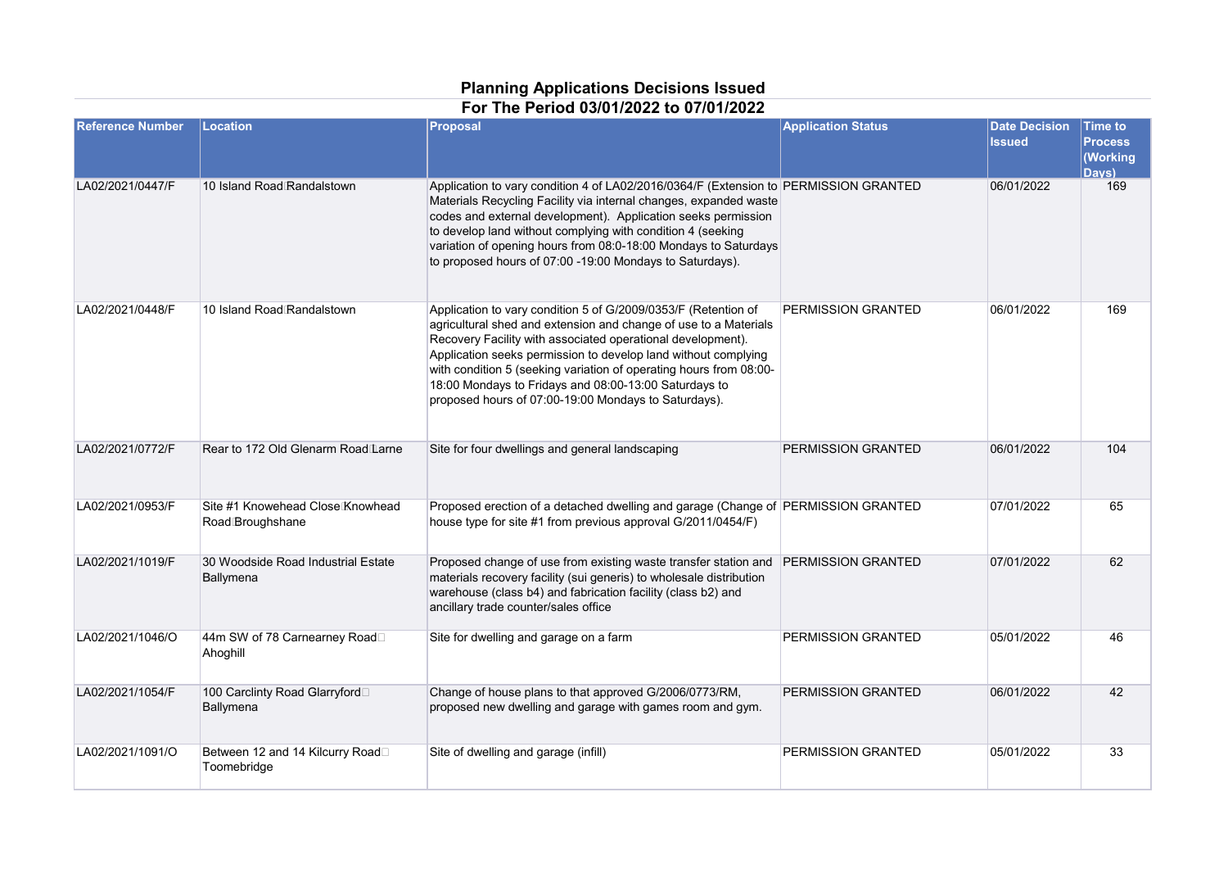## **Planning Applications Decisions Issued**

## **For The Period 03/01/2022 to 07/01/2022**

| <b>Reference Number</b> | Location                                             | Proposal                                                                                                                                                                                                                                                                                                                                                                                                                                                   | <b>Application Status</b> | <b>Date Decision</b><br><b>Issued</b> | <b>Time to</b><br><b>Process</b><br>Working<br>Davs) |
|-------------------------|------------------------------------------------------|------------------------------------------------------------------------------------------------------------------------------------------------------------------------------------------------------------------------------------------------------------------------------------------------------------------------------------------------------------------------------------------------------------------------------------------------------------|---------------------------|---------------------------------------|------------------------------------------------------|
| LA02/2021/0447/F        | 10 Island Road Randalstown                           | Application to vary condition 4 of LA02/2016/0364/F (Extension to PERMISSION GRANTED<br>Materials Recycling Facility via internal changes, expanded waste<br>codes and external development). Application seeks permission<br>to develop land without complying with condition 4 (seeking<br>variation of opening hours from 08:0-18:00 Mondays to Saturdays<br>to proposed hours of 07:00 -19:00 Mondays to Saturdays).                                   |                           | 06/01/2022                            | 169                                                  |
| LA02/2021/0448/F        | 10 Island Road Randalstown                           | Application to vary condition 5 of G/2009/0353/F (Retention of<br>agricultural shed and extension and change of use to a Materials<br>Recovery Facility with associated operational development).<br>Application seeks permission to develop land without complying<br>with condition 5 (seeking variation of operating hours from 08:00-<br>18:00 Mondays to Fridays and 08:00-13:00 Saturdays to<br>proposed hours of 07:00-19:00 Mondays to Saturdays). | PERMISSION GRANTED        | 06/01/2022                            | 169                                                  |
| LA02/2021/0772/F        | Rear to 172 Old Glenarm Road Larne                   | Site for four dwellings and general landscaping                                                                                                                                                                                                                                                                                                                                                                                                            | PERMISSION GRANTED        | 06/01/2022                            | 104                                                  |
| LA02/2021/0953/F        | Site #1 Knowehead Close Knowhead<br>Road Broughshane | Proposed erection of a detached dwelling and garage (Change of PERMISSION GRANTED<br>house type for site #1 from previous approval G/2011/0454/F)                                                                                                                                                                                                                                                                                                          |                           | 07/01/2022                            | 65                                                   |
| LA02/2021/1019/F        | 30 Woodside Road Industrial Estate<br>Ballymena      | Proposed change of use from existing waste transfer station and<br>materials recovery facility (sui generis) to wholesale distribution<br>warehouse (class b4) and fabrication facility (class b2) and<br>ancillary trade counter/sales office                                                                                                                                                                                                             | <b>PERMISSION GRANTED</b> | 07/01/2022                            | 62                                                   |
| LA02/2021/1046/O        | 44m SW of 78 Carnearney Road□<br>Ahoghill            | Site for dwelling and garage on a farm                                                                                                                                                                                                                                                                                                                                                                                                                     | PERMISSION GRANTED        | 05/01/2022                            | 46                                                   |
| LA02/2021/1054/F        | 100 Carclinty Road Glarryford□<br>Ballymena          | Change of house plans to that approved G/2006/0773/RM,<br>proposed new dwelling and garage with games room and gym.                                                                                                                                                                                                                                                                                                                                        | PERMISSION GRANTED        | 06/01/2022                            | 42                                                   |
| LA02/2021/1091/O        | Between 12 and 14 Kilcurry Road□<br>Toomebridge      | Site of dwelling and garage (infill)                                                                                                                                                                                                                                                                                                                                                                                                                       | <b>PERMISSION GRANTED</b> | 05/01/2022                            | 33                                                   |